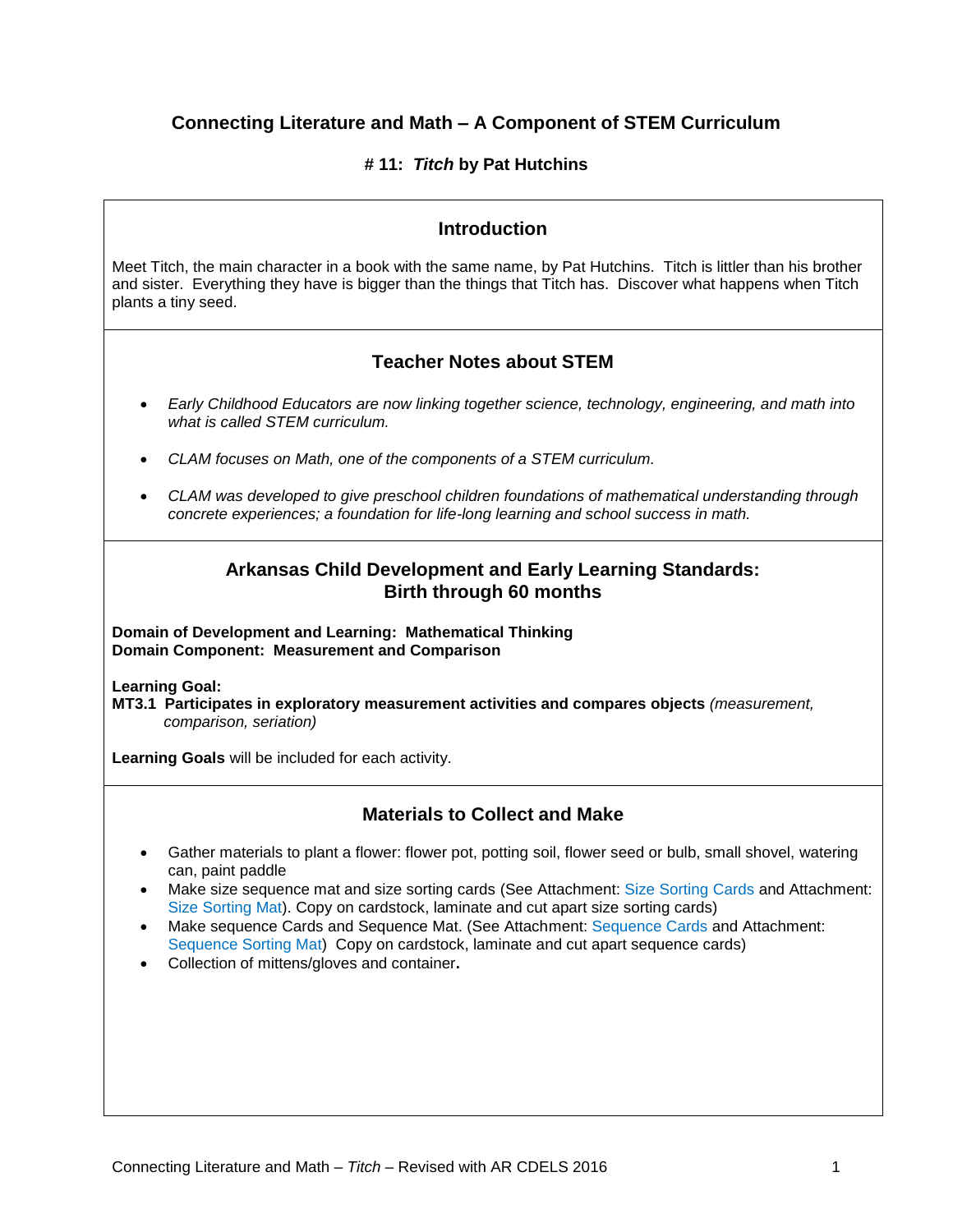# **Connecting Literature and Math – A Component of STEM Curriculum**

### **# 11:** *Titch* **by Pat Hutchins**

## **Introduction**

Meet Titch, the main character in a book with the same name, by Pat Hutchins. Titch is littler than his brother and sister. Everything they have is bigger than the things that Titch has. Discover what happens when Titch plants a tiny seed.

# **Teacher Notes about STEM**

- *Early Childhood Educators are now linking together science, technology, engineering, and math into what is called STEM curriculum.*
- *CLAM focuses on Math, one of the components of a STEM curriculum.*
- *CLAM was developed to give preschool children foundations of mathematical understanding through concrete experiences; a foundation for life-long learning and school success in math.*

### **Arkansas Child Development and Early Learning Standards: Birth through 60 months**

**Domain of Development and Learning: Mathematical Thinking Domain Component: Measurement and Comparison**

**Learning Goal:**

**MT3.1 Participates in exploratory measurement activities and compares objects** *(measurement, comparison, seriation)*

**Learning Goals** will be included for each activity.

### **Materials to Collect and Make**

- Gather materials to plant a flower: flower pot, potting soil, flower seed or bulb, small shovel, watering can, paint paddle
- Make size sequence mat and size sorting cards (See Attachment: Size Sorting Cards and Attachment: Size Sorting Mat). Copy on cardstock, laminate and cut apart size sorting cards)
- Make sequence Cards and Sequence Mat. (See Attachment: Sequence Cards and Attachment: Sequence Sorting Mat) Copy on cardstock, laminate and cut apart sequence cards)
- Collection of mittens/gloves and container**.**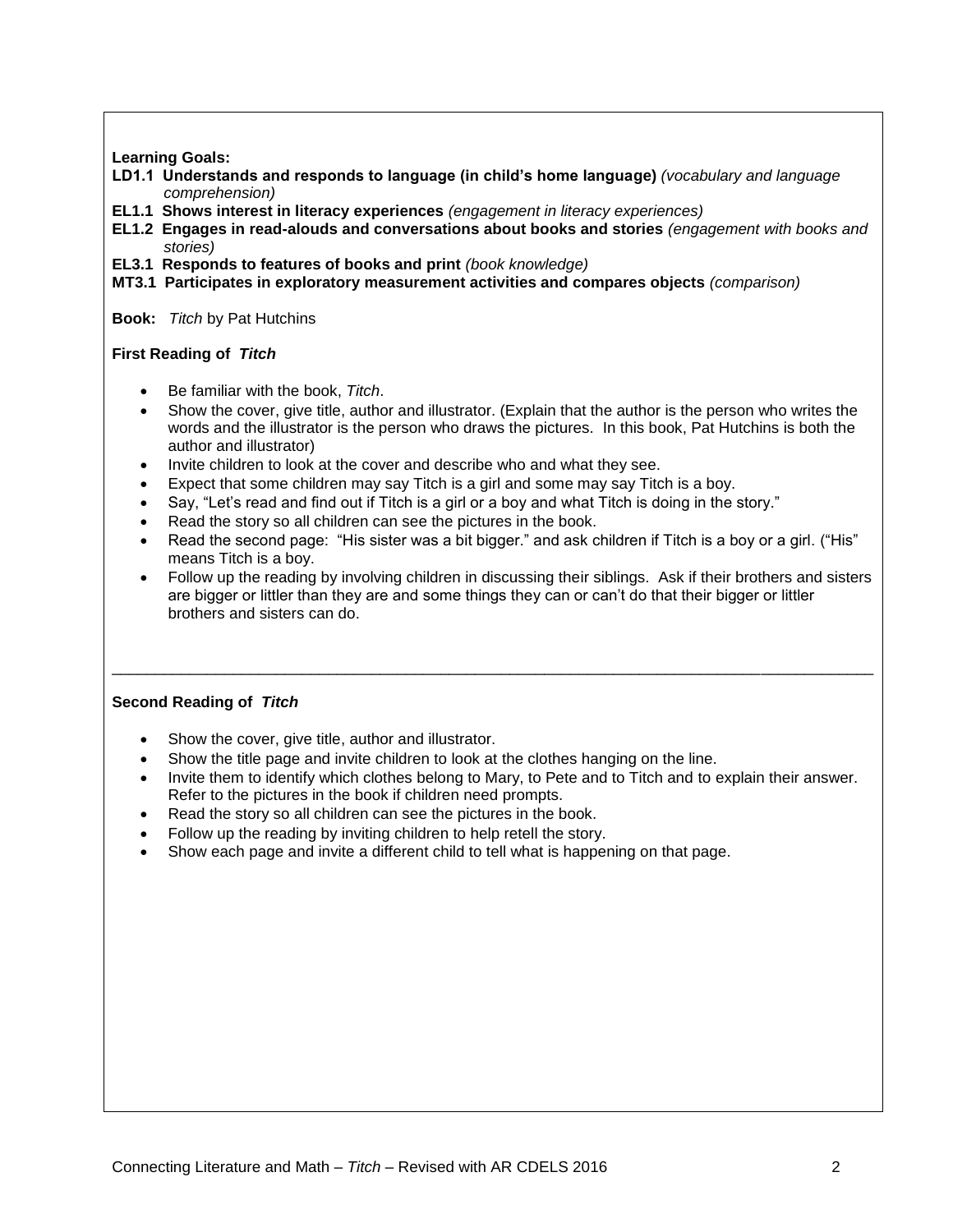### **Learning Goals:**

- **LD1.1 Understands and responds to language (in child's home language)** *(vocabulary and language comprehension)*
- **EL1.1 Shows interest in literacy experiences** *(engagement in literacy experiences)*
- **EL1.2 Engages in read-alouds and conversations about books and stories** *(engagement with books and stories)*
- **EL3.1 Responds to features of books and print** *(book knowledge)*
- **MT3.1 Participates in exploratory measurement activities and compares objects** *(comparison)*

**Book:** *Titch* by Pat Hutchins

#### **First Reading of** *Titch*

- Be familiar with the book, *Titch*.
- Show the cover, give title, author and illustrator. (Explain that the author is the person who writes the words and the illustrator is the person who draws the pictures. In this book, Pat Hutchins is both the author and illustrator)
- Invite children to look at the cover and describe who and what they see.
- Expect that some children may say Titch is a girl and some may say Titch is a boy.
- Say, "Let's read and find out if Titch is a girl or a boy and what Titch is doing in the story."
- Read the story so all children can see the pictures in the book.
- Read the second page: "His sister was a bit bigger." and ask children if Titch is a boy or a girl. ("His" means Titch is a boy.
- Follow up the reading by involving children in discussing their siblings. Ask if their brothers and sisters are bigger or littler than they are and some things they can or can't do that their bigger or littler brothers and sisters can do.

\_\_\_\_\_\_\_\_\_\_\_\_\_\_\_\_\_\_\_\_\_\_\_\_\_\_\_\_\_\_\_\_\_\_\_\_\_\_\_\_\_\_\_\_\_\_\_\_\_\_\_\_\_\_\_\_\_\_\_\_\_\_\_\_\_\_\_\_\_\_\_\_\_\_\_\_\_\_\_\_\_\_\_\_\_\_\_\_

### **Second Reading of** *Titch*

- Show the cover, give title, author and illustrator.
- Show the title page and invite children to look at the clothes hanging on the line.
- Invite them to identify which clothes belong to Mary, to Pete and to Titch and to explain their answer. Refer to the pictures in the book if children need prompts.
- Read the story so all children can see the pictures in the book.
- Follow up the reading by inviting children to help retell the story.
- Show each page and invite a different child to tell what is happening on that page.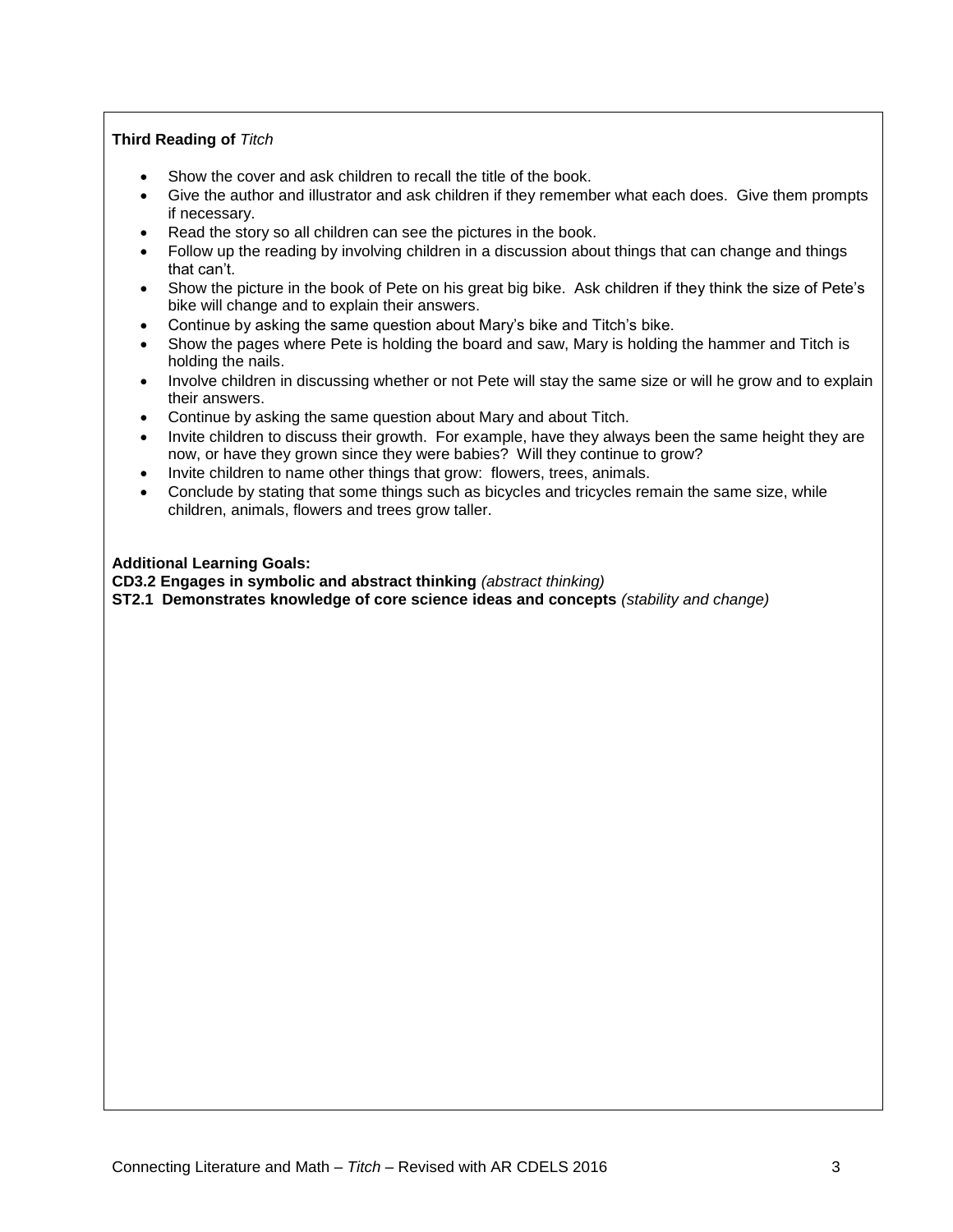### **Third Reading of** *Titch*

- Show the cover and ask children to recall the title of the book.
- Give the author and illustrator and ask children if they remember what each does. Give them prompts if necessary.
- Read the story so all children can see the pictures in the book.
- Follow up the reading by involving children in a discussion about things that can change and things that can't.
- Show the picture in the book of Pete on his great big bike. Ask children if they think the size of Pete's bike will change and to explain their answers.
- Continue by asking the same question about Mary's bike and Titch's bike.
- Show the pages where Pete is holding the board and saw, Mary is holding the hammer and Titch is holding the nails.
- Involve children in discussing whether or not Pete will stay the same size or will he grow and to explain their answers.
- Continue by asking the same question about Mary and about Titch.
- Invite children to discuss their growth. For example, have they always been the same height they are now, or have they grown since they were babies? Will they continue to grow?
- Invite children to name other things that grow: flowers, trees, animals.
- Conclude by stating that some things such as bicycles and tricycles remain the same size, while children, animals, flowers and trees grow taller.

#### **Additional Learning Goals:**

**CD3.2 Engages in symbolic and abstract thinking** *(abstract thinking)*

**ST2.1 Demonstrates knowledge of core science ideas and concepts** *(stability and change)*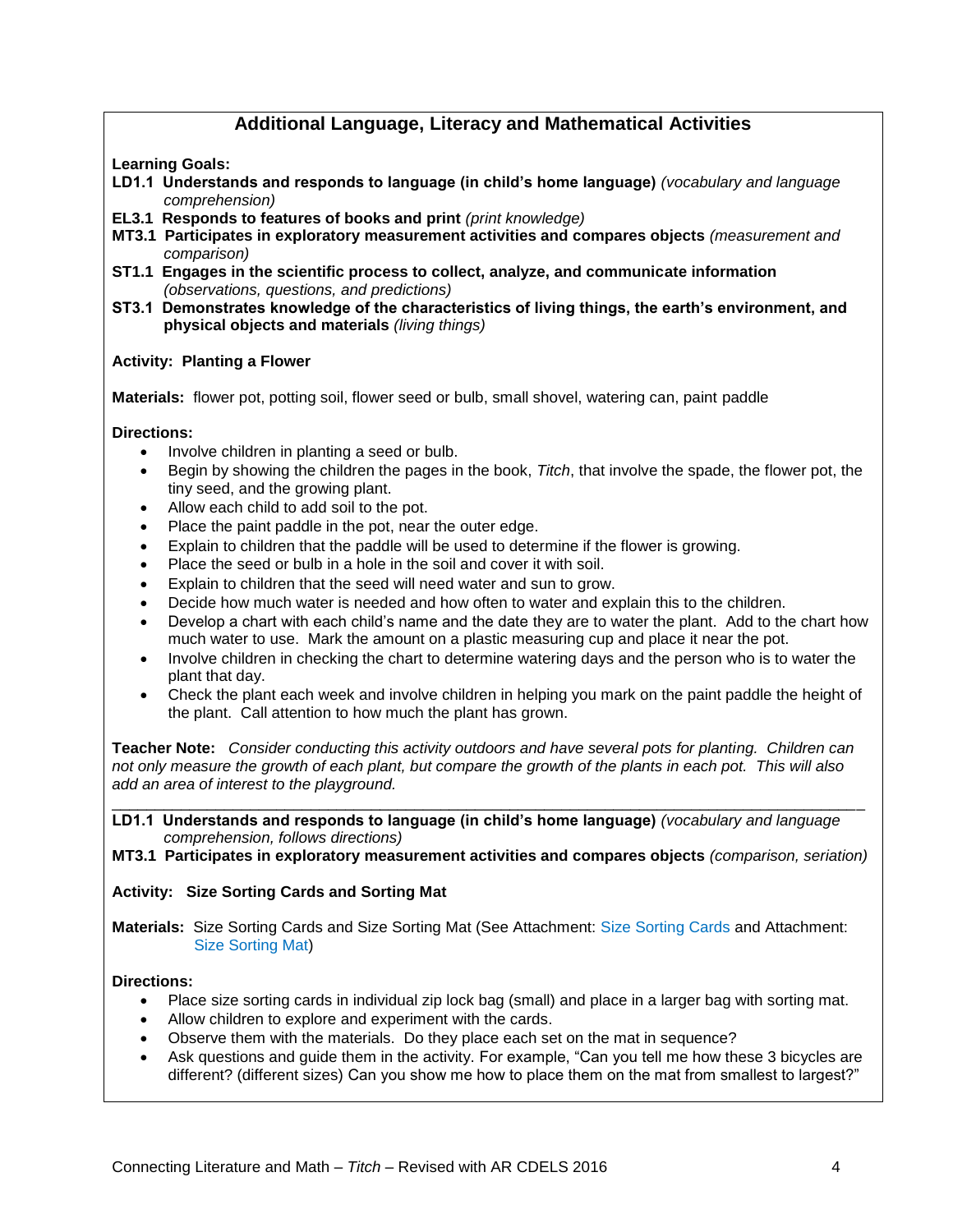# **Additional Language, Literacy and Mathematical Activities**

**Learning Goals:**

- **LD1.1 Understands and responds to language (in child's home language)** *(vocabulary and language comprehension)*
- **EL3.1 Responds to features of books and print** *(print knowledge)*
- **MT3.1 Participates in exploratory measurement activities and compares objects** *(measurement and comparison)*
- **ST1.1 Engages in the scientific process to collect, analyze, and communicate information** *(observations, questions, and predictions)*
- **ST3.1 Demonstrates knowledge of the characteristics of living things, the earth's environment, and physical objects and materials** *(living things)*

#### **Activity: Planting a Flower**

**Materials:** flower pot, potting soil, flower seed or bulb, small shovel, watering can, paint paddle

#### **Directions:**

- Involve children in planting a seed or bulb.
- Begin by showing the children the pages in the book, *Titch*, that involve the spade, the flower pot, the tiny seed, and the growing plant.
- Allow each child to add soil to the pot.
- Place the paint paddle in the pot, near the outer edge.
- Explain to children that the paddle will be used to determine if the flower is growing.
- Place the seed or bulb in a hole in the soil and cover it with soil.
- Explain to children that the seed will need water and sun to grow.
- Decide how much water is needed and how often to water and explain this to the children.
- Develop a chart with each child's name and the date they are to water the plant. Add to the chart how much water to use. Mark the amount on a plastic measuring cup and place it near the pot.
- Involve children in checking the chart to determine watering days and the person who is to water the plant that day.
- Check the plant each week and involve children in helping you mark on the paint paddle the height of the plant. Call attention to how much the plant has grown.

**Teacher Note:** *Consider conducting this activity outdoors and have several pots for planting. Children can not only measure the growth of each plant, but compare the growth of the plants in each pot. This will also add an area of interest to the playground.*

\_\_\_\_\_\_\_\_\_\_\_\_\_\_\_\_\_\_\_\_\_\_\_\_\_\_\_\_\_\_\_\_\_\_\_\_\_\_\_\_\_\_\_\_\_\_\_\_\_\_\_\_\_\_\_\_\_\_\_\_\_\_\_\_\_\_\_\_\_\_\_\_\_\_\_\_\_\_\_\_\_\_\_\_\_\_\_

**LD1.1 Understands and responds to language (in child's home language)** *(vocabulary and language comprehension, follows directions)*

**MT3.1 Participates in exploratory measurement activities and compares objects** *(comparison, seriation)*

### **Activity: Size Sorting Cards and Sorting Mat**

**Materials:** Size Sorting Cards and Size Sorting Mat (See Attachment: Size Sorting Cards and Attachment: Size Sorting Mat)

#### **Directions:**

- Place size sorting cards in individual zip lock bag (small) and place in a larger bag with sorting mat.
- Allow children to explore and experiment with the cards.
- Observe them with the materials. Do they place each set on the mat in sequence?
- Ask questions and guide them in the activity. For example, "Can you tell me how these 3 bicycles are different? (different sizes) Can you show me how to place them on the mat from smallest to largest?"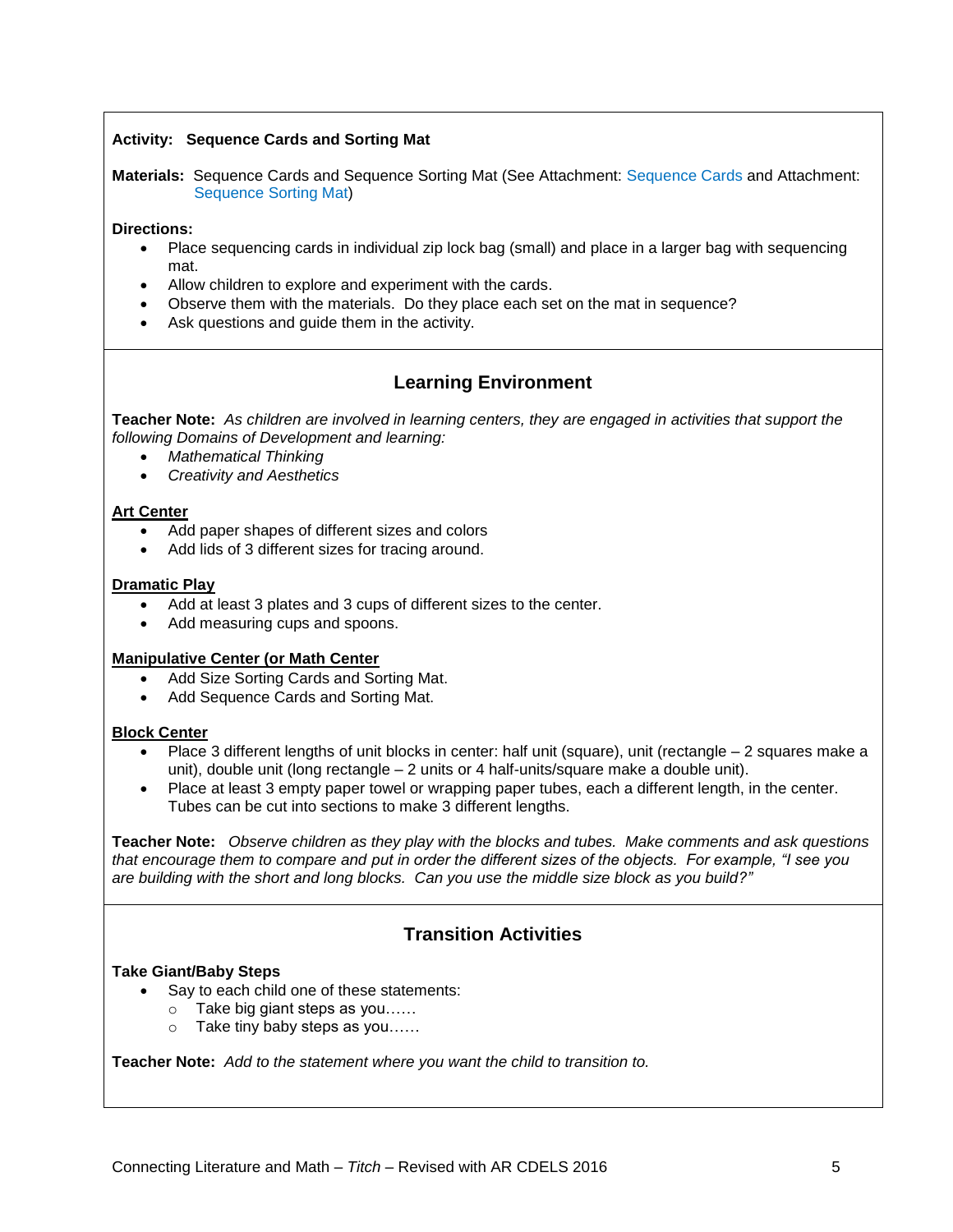### **Activity: Sequence Cards and Sorting Mat**

**Materials:** Sequence Cards and Sequence Sorting Mat (See Attachment: Sequence Cards and Attachment: Sequence Sorting Mat)

#### **Directions:**

- Place sequencing cards in individual zip lock bag (small) and place in a larger bag with sequencing mat.
- Allow children to explore and experiment with the cards.
- Observe them with the materials. Do they place each set on the mat in sequence?
- Ask questions and guide them in the activity.

# **Learning Environment**

**Teacher Note:** *As children are involved in learning centers, they are engaged in activities that support the following Domains of Development and learning:*

- *Mathematical Thinking*
- *Creativity and Aesthetics*

#### **Art Center**

- Add paper shapes of different sizes and colors
- Add lids of 3 different sizes for tracing around.

#### **Dramatic Play**

- Add at least 3 plates and 3 cups of different sizes to the center.
- Add measuring cups and spoons.

#### **Manipulative Center (or Math Center**

- Add Size Sorting Cards and Sorting Mat.
- Add Sequence Cards and Sorting Mat.

#### **Block Center**

- Place 3 different lengths of unit blocks in center: half unit (square), unit (rectangle 2 squares make a unit), double unit (long rectangle – 2 units or 4 half-units/square make a double unit).
- Place at least 3 empty paper towel or wrapping paper tubes, each a different length, in the center. Tubes can be cut into sections to make 3 different lengths.

**Teacher Note:** *Observe children as they play with the blocks and tubes. Make comments and ask questions that encourage them to compare and put in order the different sizes of the objects. For example, "I see you are building with the short and long blocks. Can you use the middle size block as you build?"*

# **Transition Activities**

#### **Take Giant/Baby Steps**

- Say to each child one of these statements:
	- o Take big giant steps as you……
	- o Take tiny baby steps as you……

**Teacher Note:** *Add to the statement where you want the child to transition to.*